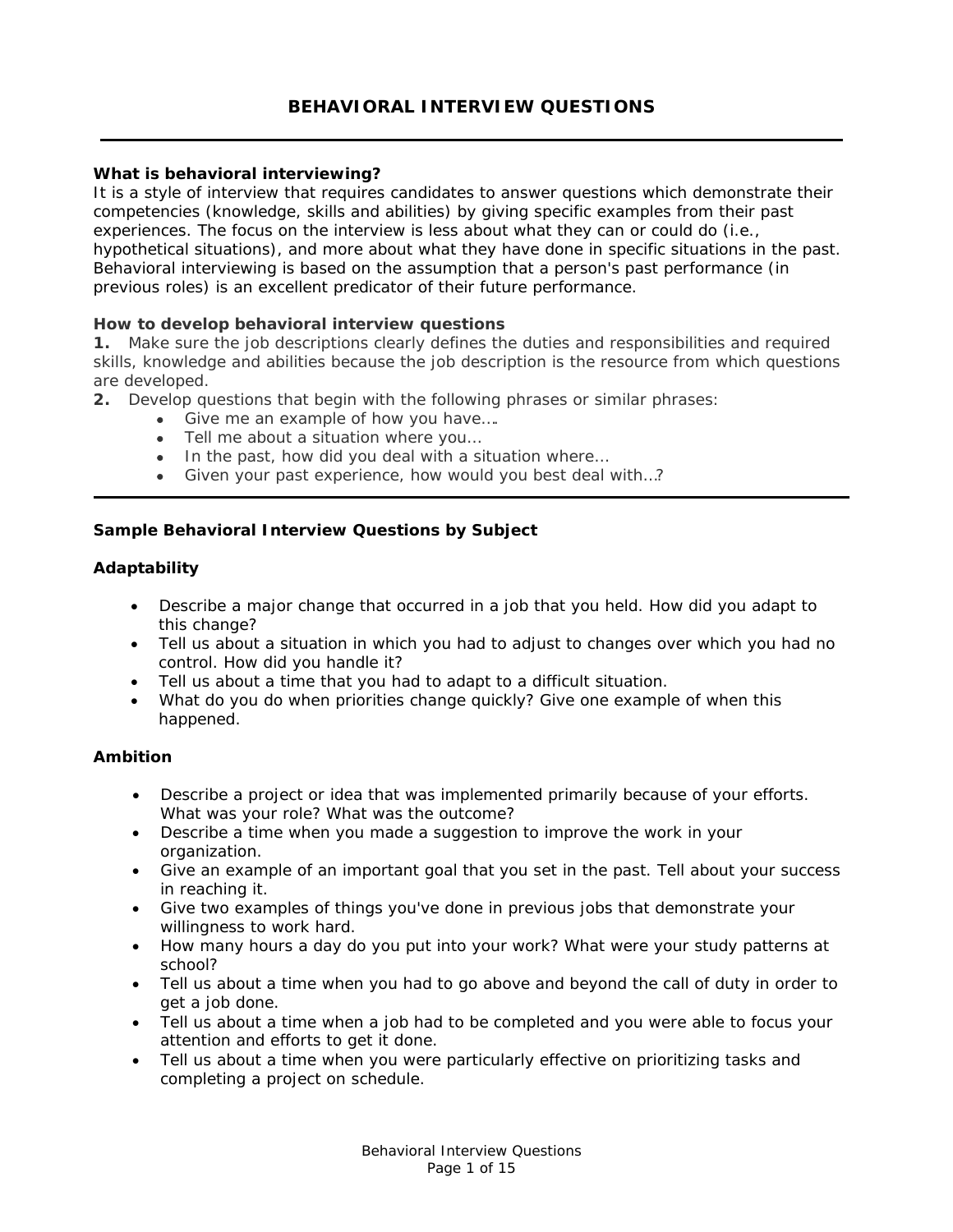# **BEHAVIORAL INTERVIEW QUESTIONS**

#### **What is behavioral interviewing?**

It is a style of interview that requires candidates to answer questions which demonstrate their competencies (knowledge, skills and abilities) by giving specific examples from their past experiences. The focus on the interview is less about what they can or could do (i.e., hypothetical situations), and more about what they have done in specific situations in the past. Behavioral interviewing is based on the assumption that a person's past performance (in previous roles) is an excellent predicator of their future performance.

#### **How to develop behavioral interview questions**

**1.** Make sure the job descriptions clearly defines the duties and responsibilities and required skills, knowledge and abilities because the job description is the resource from which questions are developed.

- **2.** Develop questions that begin with the following phrases or similar phrases:
	- Give me an example of how you have....
	- Tell me about a situation where you...
	- In the past, how did you deal with a situation where...
	- Given your past experience, how would you best deal with…?

#### **Sample Behavioral Interview Questions by Subject**

#### **Adaptability**

- Describe a major change that occurred in a job that you held. How did you adapt to this change?
- Tell us about a situation in which you had to adjust to changes over which you had no control. How did you handle it?
- Tell us about a time that you had to adapt to a difficult situation.
- What do you do when priorities change quickly? Give one example of when this happened.

#### **Ambition**

- Describe a project or idea that was implemented primarily because of your efforts. What was your role? What was the outcome?
- Describe a time when you made a suggestion to improve the work in your organization.
- Give an example of an important goal that you set in the past. Tell about your success in reaching it.
- Give two examples of things you've done in previous jobs that demonstrate your willingness to work hard.
- How many hours a day do you put into your work? What were your study patterns at school?
- Tell us about a time when you had to go above and beyond the call of duty in order to get a job done.
- Tell us about a time when a job had to be completed and you were able to focus your attention and efforts to get it done.
- Tell us about a time when you were particularly effective on prioritizing tasks and completing a project on schedule.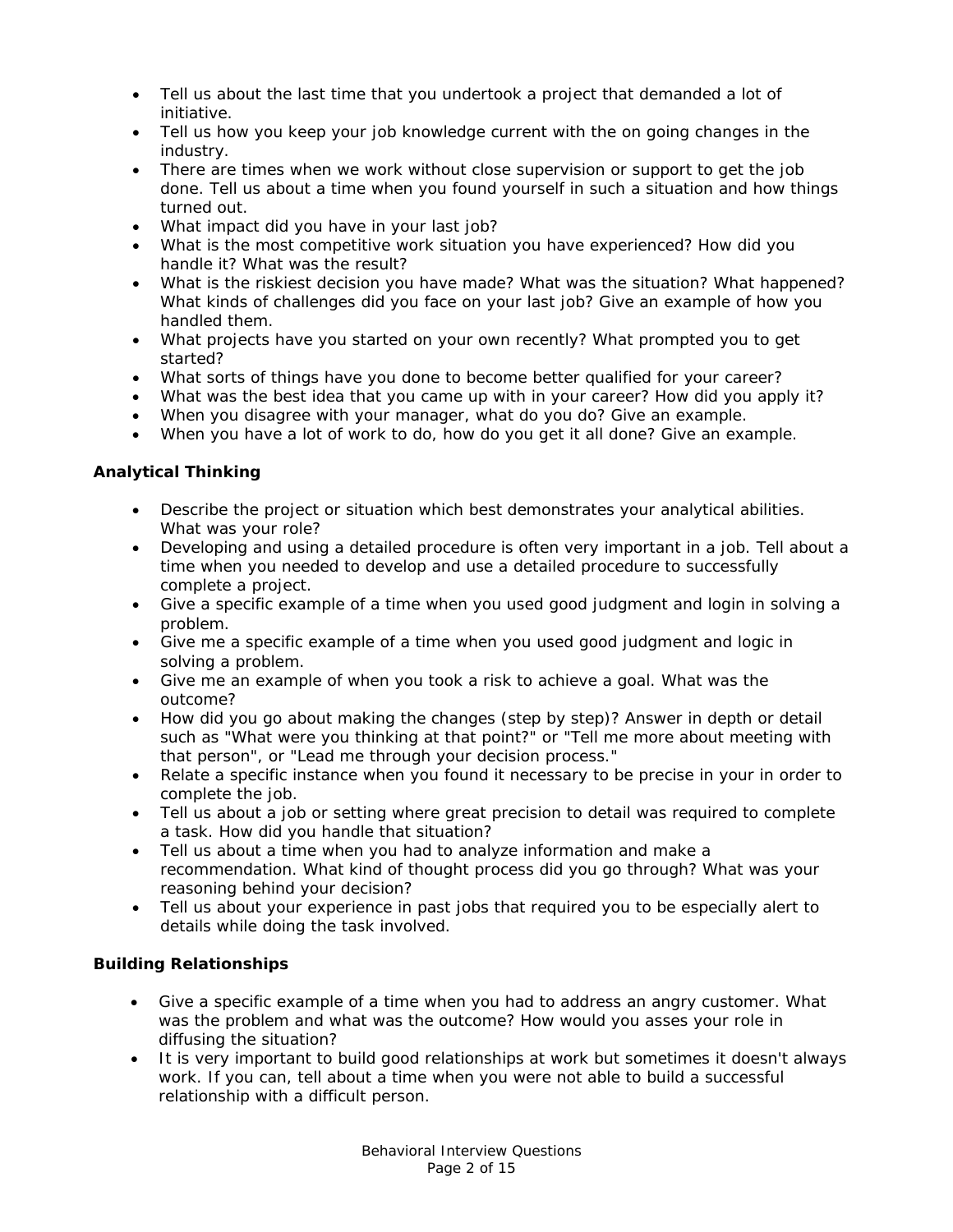- Tell us about the last time that you undertook a project that demanded a lot of initiative.
- Tell us how you keep your job knowledge current with the on going changes in the industry.
- There are times when we work without close supervision or support to get the job done. Tell us about a time when you found yourself in such a situation and how things turned out.
- What impact did you have in your last job?
- What is the most competitive work situation you have experienced? How did you handle it? What was the result?
- What is the riskiest decision you have made? What was the situation? What happened? What kinds of challenges did you face on your last job? Give an example of how you handled them.
- What projects have you started on your own recently? What prompted you to get started?
- What sorts of things have you done to become better qualified for your career?
- What was the best idea that you came up with in your career? How did you apply it?
- When you disagree with your manager, what do you do? Give an example.
- When you have a lot of work to do, how do you get it all done? Give an example.

# **Analytical Thinking**

- Describe the project or situation which best demonstrates your analytical abilities. What was your role?
- Developing and using a detailed procedure is often very important in a job. Tell about a time when you needed to develop and use a detailed procedure to successfully complete a project.
- Give a specific example of a time when you used good judgment and login in solving a problem.
- Give me a specific example of a time when you used good judgment and logic in solving a problem.
- Give me an example of when you took a risk to achieve a goal. What was the outcome?
- How did you go about making the changes (step by step)? Answer in depth or detail such as "What were you thinking at that point?" or "Tell me more about meeting with that person", or "Lead me through your decision process."
- Relate a specific instance when you found it necessary to be precise in your in order to complete the job.
- Tell us about a job or setting where great precision to detail was required to complete a task. How did you handle that situation?
- Tell us about a time when you had to analyze information and make a recommendation. What kind of thought process did you go through? What was your reasoning behind your decision?
- Tell us about your experience in past jobs that required you to be especially alert to details while doing the task involved.

## **Building Relationships**

- Give a specific example of a time when you had to address an angry customer. What was the problem and what was the outcome? How would you asses your role in diffusing the situation?
- It is very important to build good relationships at work but sometimes it doesn't always work. If you can, tell about a time when you were not able to build a successful relationship with a difficult person.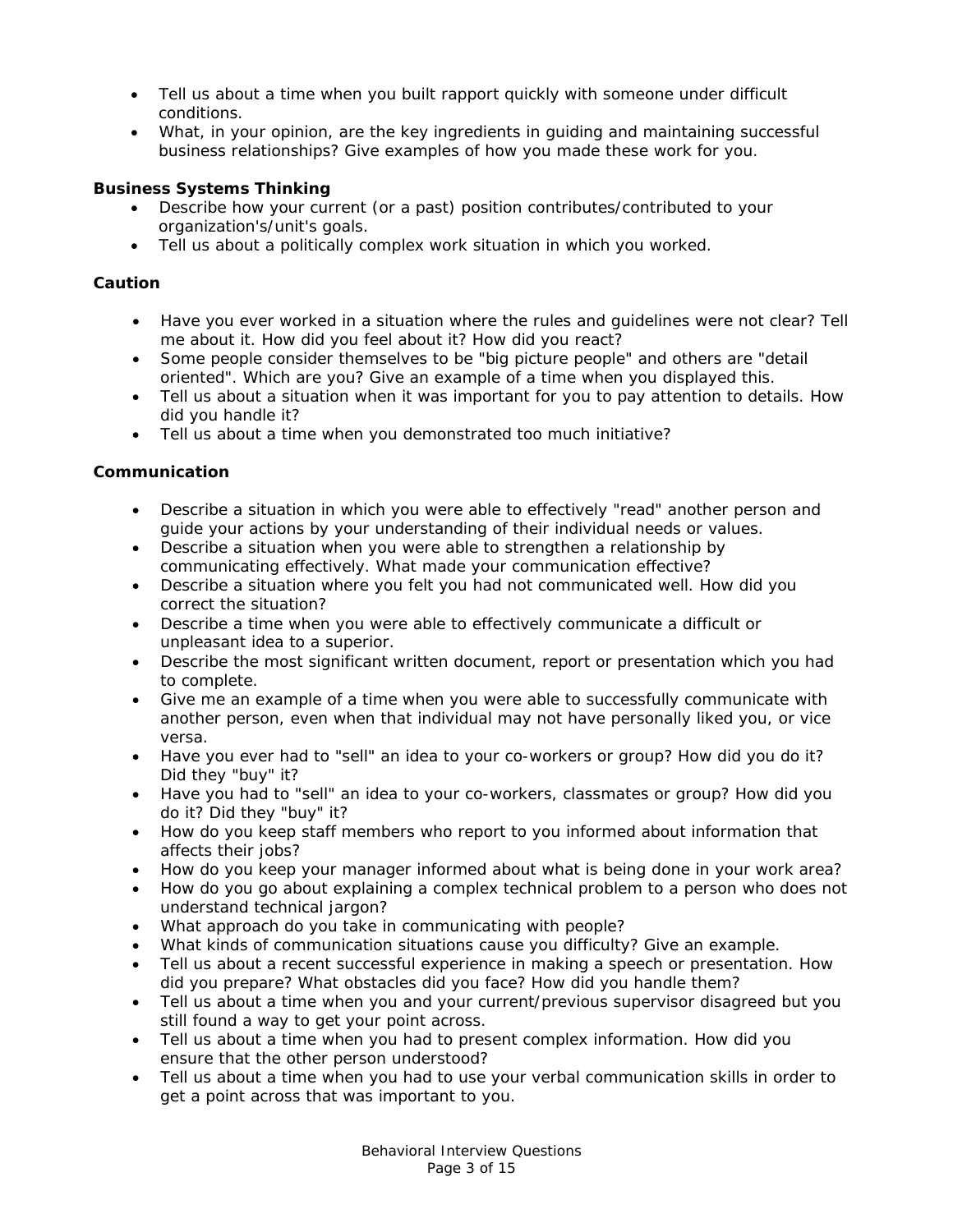- Tell us about a time when you built rapport quickly with someone under difficult conditions.
- What, in your opinion, are the key ingredients in guiding and maintaining successful business relationships? Give examples of how you made these work for you.

## **Business Systems Thinking**

- Describe how your current (or a past) position contributes/contributed to your organization's/unit's goals.
- Tell us about a politically complex work situation in which you worked.

## **Caution**

- Have you ever worked in a situation where the rules and guidelines were not clear? Tell me about it. How did you feel about it? How did you react?
- Some people consider themselves to be "big picture people" and others are "detail oriented". Which are you? Give an example of a time when you displayed this.
- Tell us about a situation when it was important for you to pay attention to details. How did you handle it?
- Tell us about a time when you demonstrated too much initiative?

## **Communication**

- Describe a situation in which you were able to effectively "read" another person and guide your actions by your understanding of their individual needs or values.
- Describe a situation when you were able to strengthen a relationship by communicating effectively. What made your communication effective?
- Describe a situation where you felt you had not communicated well. How did you correct the situation?
- Describe a time when you were able to effectively communicate a difficult or unpleasant idea to a superior.
- Describe the most significant written document, report or presentation which you had to complete.
- Give me an example of a time when you were able to successfully communicate with another person, even when that individual may not have personally liked you, or vice versa.
- Have you ever had to "sell" an idea to your co-workers or group? How did you do it? Did they "buy" it?
- Have you had to "sell" an idea to your co-workers, classmates or group? How did you do it? Did they "buy" it?
- How do you keep staff members who report to you informed about information that affects their jobs?
- How do you keep your manager informed about what is being done in your work area?
- How do you go about explaining a complex technical problem to a person who does not understand technical jargon?
- What approach do you take in communicating with people?
- What kinds of communication situations cause you difficulty? Give an example.
- Tell us about a recent successful experience in making a speech or presentation. How did you prepare? What obstacles did you face? How did you handle them?
- Tell us about a time when you and your current/previous supervisor disagreed but you still found a way to get your point across.
- Tell us about a time when you had to present complex information. How did you ensure that the other person understood?
- Tell us about a time when you had to use your verbal communication skills in order to get a point across that was important to you.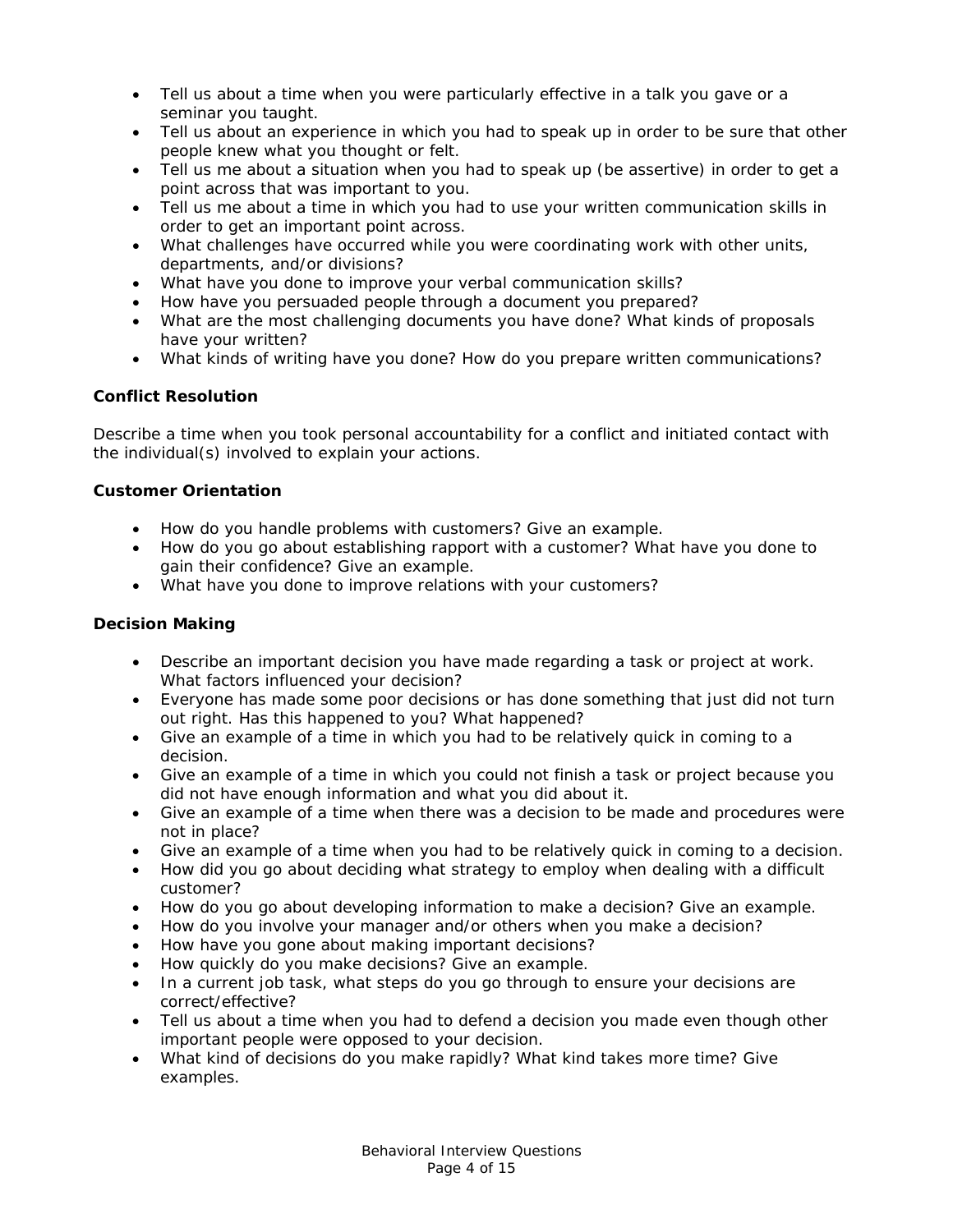- Tell us about a time when you were particularly effective in a talk you gave or a seminar you taught.
- Tell us about an experience in which you had to speak up in order to be sure that other people knew what you thought or felt.
- Tell us me about a situation when you had to speak up (be assertive) in order to get a point across that was important to you.
- Tell us me about a time in which you had to use your written communication skills in order to get an important point across.
- What challenges have occurred while you were coordinating work with other units, departments, and/or divisions?
- What have you done to improve your verbal communication skills?
- How have you persuaded people through a document you prepared?
- What are the most challenging documents you have done? What kinds of proposals have your written?
- What kinds of writing have you done? How do you prepare written communications?

#### **Conflict Resolution**

Describe a time when you took personal accountability for a conflict and initiated contact with the individual(s) involved to explain your actions.

## **Customer Orientation**

- How do you handle problems with customers? Give an example.
- How do you go about establishing rapport with a customer? What have you done to gain their confidence? Give an example.
- What have you done to improve relations with your customers?

#### **Decision Making**

- Describe an important decision you have made regarding a task or project at work. What factors influenced your decision?
- Everyone has made some poor decisions or has done something that just did not turn out right. Has this happened to you? What happened?
- Give an example of a time in which you had to be relatively quick in coming to a decision.
- Give an example of a time in which you could not finish a task or project because you did not have enough information and what you did about it.
- Give an example of a time when there was a decision to be made and procedures were not in place?
- Give an example of a time when you had to be relatively quick in coming to a decision.
- How did you go about deciding what strategy to employ when dealing with a difficult customer?
- How do you go about developing information to make a decision? Give an example.
- How do you involve your manager and/or others when you make a decision?
- How have you gone about making important decisions?
- How quickly do you make decisions? Give an example.
- In a current job task, what steps do you go through to ensure your decisions are correct/effective?
- Tell us about a time when you had to defend a decision you made even though other important people were opposed to your decision.
- What kind of decisions do you make rapidly? What kind takes more time? Give examples.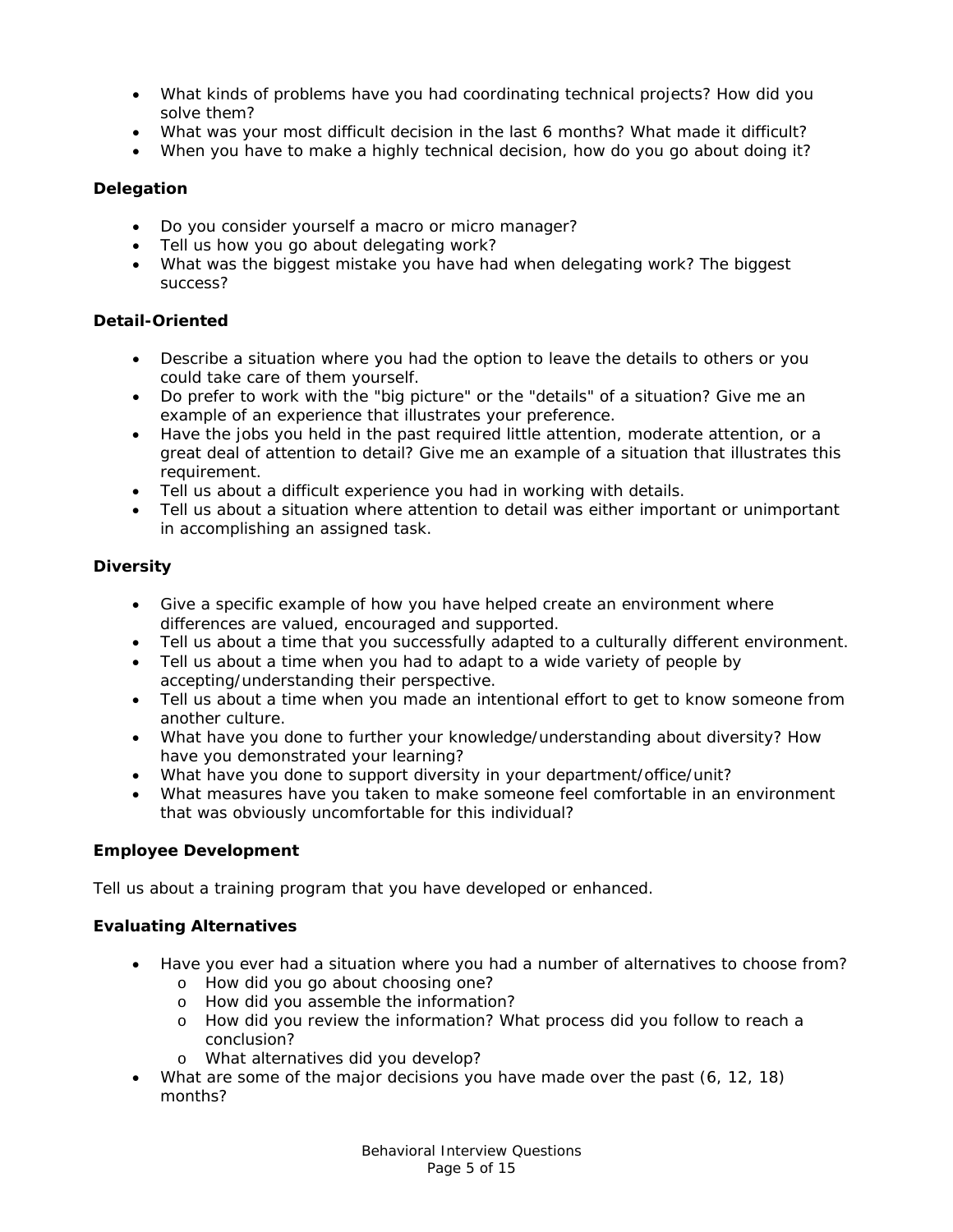- What kinds of problems have you had coordinating technical projects? How did you solve them?
- What was your most difficult decision in the last 6 months? What made it difficult?
- When you have to make a highly technical decision, how do you go about doing it?

## **Delegation**

- Do you consider yourself a macro or micro manager?
- Tell us how you go about delegating work?
- What was the biggest mistake you have had when delegating work? The biggest success?

## **Detail-Oriented**

- Describe a situation where you had the option to leave the details to others or you could take care of them yourself.
- Do prefer to work with the "big picture" or the "details" of a situation? Give me an example of an experience that illustrates your preference.
- Have the jobs you held in the past required little attention, moderate attention, or a great deal of attention to detail? Give me an example of a situation that illustrates this requirement.
- Tell us about a difficult experience you had in working with details.
- Tell us about a situation where attention to detail was either important or unimportant in accomplishing an assigned task.

## **Diversity**

- Give a specific example of how you have helped create an environment where differences are valued, encouraged and supported.
- Tell us about a time that you successfully adapted to a culturally different environment.
- Tell us about a time when you had to adapt to a wide variety of people by accepting/understanding their perspective.
- Tell us about a time when you made an intentional effort to get to know someone from another culture.
- What have you done to further your knowledge/understanding about diversity? How have you demonstrated your learning?
- What have you done to support diversity in your department/office/unit?
- What measures have you taken to make someone feel comfortable in an environment that was obviously uncomfortable for this individual?

#### **Employee Development**

Tell us about a training program that you have developed or enhanced.

## **Evaluating Alternatives**

- Have you ever had a situation where you had a number of alternatives to choose from?
	- o How did you go about choosing one?
	- o How did you assemble the information?
	- o How did you review the information? What process did you follow to reach a conclusion?
	- o What alternatives did you develop?
- What are some of the major decisions you have made over the past (6, 12, 18) months?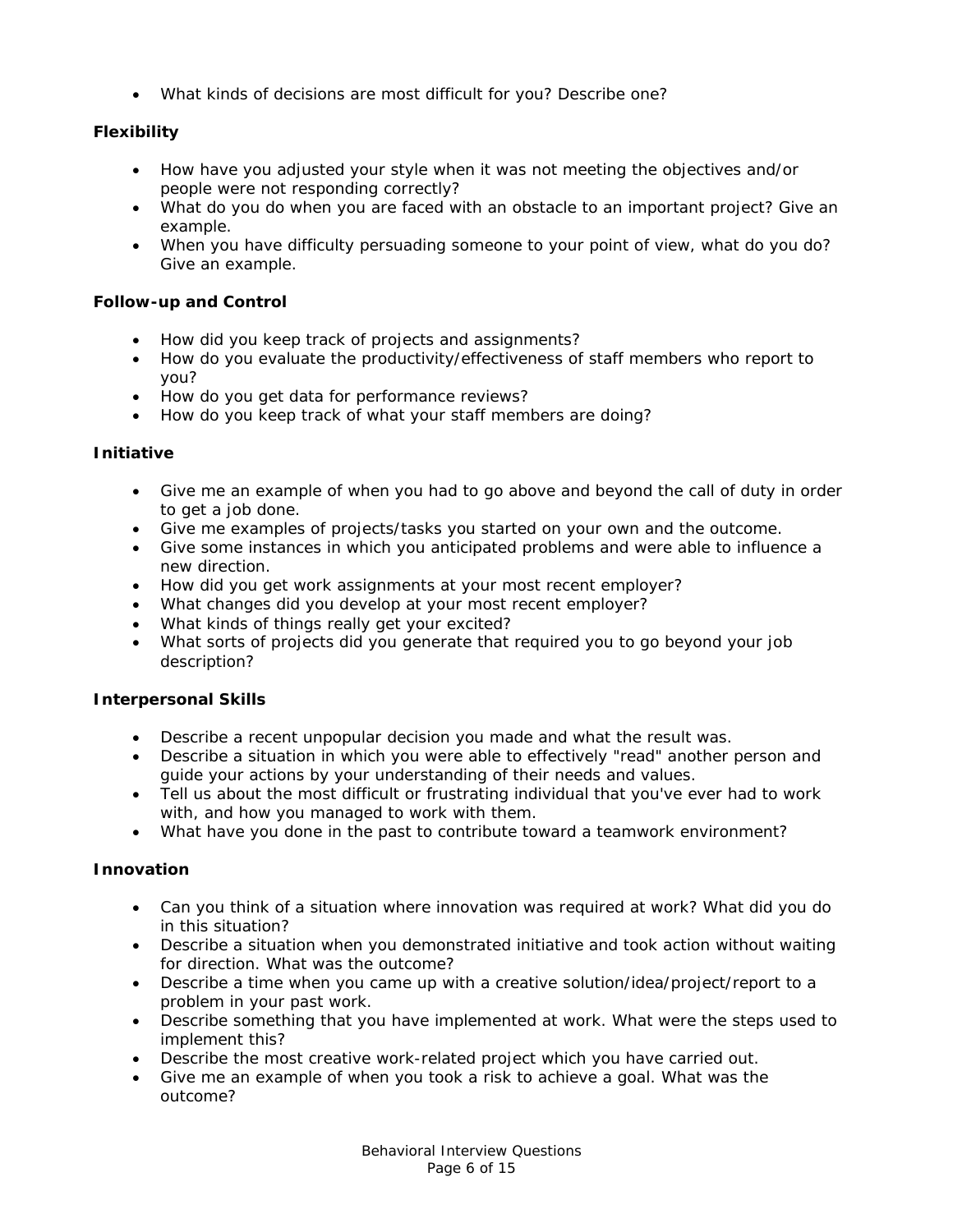• What kinds of decisions are most difficult for you? Describe one?

# **Flexibility**

- How have you adjusted your style when it was not meeting the objectives and/or people were not responding correctly?
- What do you do when you are faced with an obstacle to an important project? Give an example.
- When you have difficulty persuading someone to your point of view, what do you do? Give an example.

## **Follow-up and Control**

- How did you keep track of projects and assignments?
- How do you evaluate the productivity/effectiveness of staff members who report to you?
- How do you get data for performance reviews?
- How do you keep track of what your staff members are doing?

## **Initiative**

- Give me an example of when you had to go above and beyond the call of duty in order to get a job done.
- Give me examples of projects/tasks you started on your own and the outcome.
- Give some instances in which you anticipated problems and were able to influence a new direction.
- How did you get work assignments at your most recent employer?
- What changes did you develop at your most recent employer?
- What kinds of things really get your excited?
- What sorts of projects did you generate that required you to go beyond your job description?

#### **Interpersonal Skills**

- Describe a recent unpopular decision you made and what the result was.
- Describe a situation in which you were able to effectively "read" another person and guide your actions by your understanding of their needs and values.
- Tell us about the most difficult or frustrating individual that you've ever had to work with, and how you managed to work with them.
- What have you done in the past to contribute toward a teamwork environment?

#### **Innovation**

- Can you think of a situation where innovation was required at work? What did you do in this situation?
- Describe a situation when you demonstrated initiative and took action without waiting for direction. What was the outcome?
- Describe a time when you came up with a creative solution/idea/project/report to a problem in your past work.
- Describe something that you have implemented at work. What were the steps used to implement this?
- Describe the most creative work-related project which you have carried out.
- Give me an example of when you took a risk to achieve a goal. What was the outcome?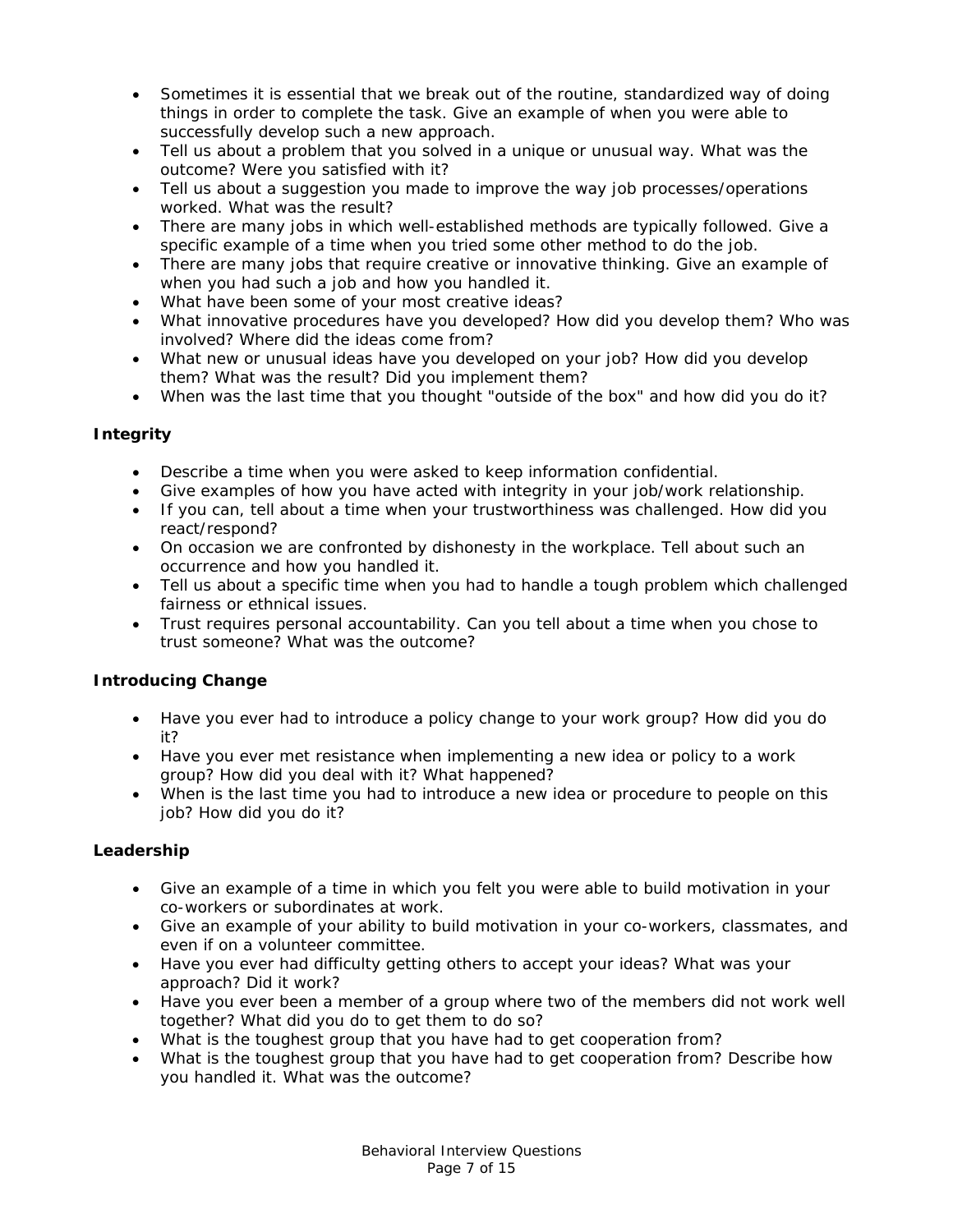- Sometimes it is essential that we break out of the routine, standardized way of doing things in order to complete the task. Give an example of when you were able to successfully develop such a new approach.
- Tell us about a problem that you solved in a unique or unusual way. What was the outcome? Were you satisfied with it?
- Tell us about a suggestion you made to improve the way job processes/operations worked. What was the result?
- There are many jobs in which well-established methods are typically followed. Give a specific example of a time when you tried some other method to do the job.
- There are many jobs that require creative or innovative thinking. Give an example of when you had such a job and how you handled it.
- What have been some of your most creative ideas?
- What innovative procedures have you developed? How did you develop them? Who was involved? Where did the ideas come from?
- What new or unusual ideas have you developed on your job? How did you develop them? What was the result? Did you implement them?
- When was the last time that you thought "outside of the box" and how did you do it?

# **Integrity**

- Describe a time when you were asked to keep information confidential.
- Give examples of how you have acted with integrity in your job/work relationship.
- If you can, tell about a time when your trustworthiness was challenged. How did you react/respond?
- On occasion we are confronted by dishonesty in the workplace. Tell about such an occurrence and how you handled it.
- Tell us about a specific time when you had to handle a tough problem which challenged fairness or ethnical issues.
- Trust requires personal accountability. Can you tell about a time when you chose to trust someone? What was the outcome?

# **Introducing Change**

- Have you ever had to introduce a policy change to your work group? How did you do it?
- Have you ever met resistance when implementing a new idea or policy to a work group? How did you deal with it? What happened?
- When is the last time you had to introduce a new idea or procedure to people on this job? How did you do it?

## **Leadership**

- Give an example of a time in which you felt you were able to build motivation in your co-workers or subordinates at work.
- Give an example of your ability to build motivation in your co-workers, classmates, and even if on a volunteer committee.
- Have you ever had difficulty getting others to accept your ideas? What was your approach? Did it work?
- Have you ever been a member of a group where two of the members did not work well together? What did you do to get them to do so?
- What is the toughest group that you have had to get cooperation from?
- What is the toughest group that you have had to get cooperation from? Describe how you handled it. What was the outcome?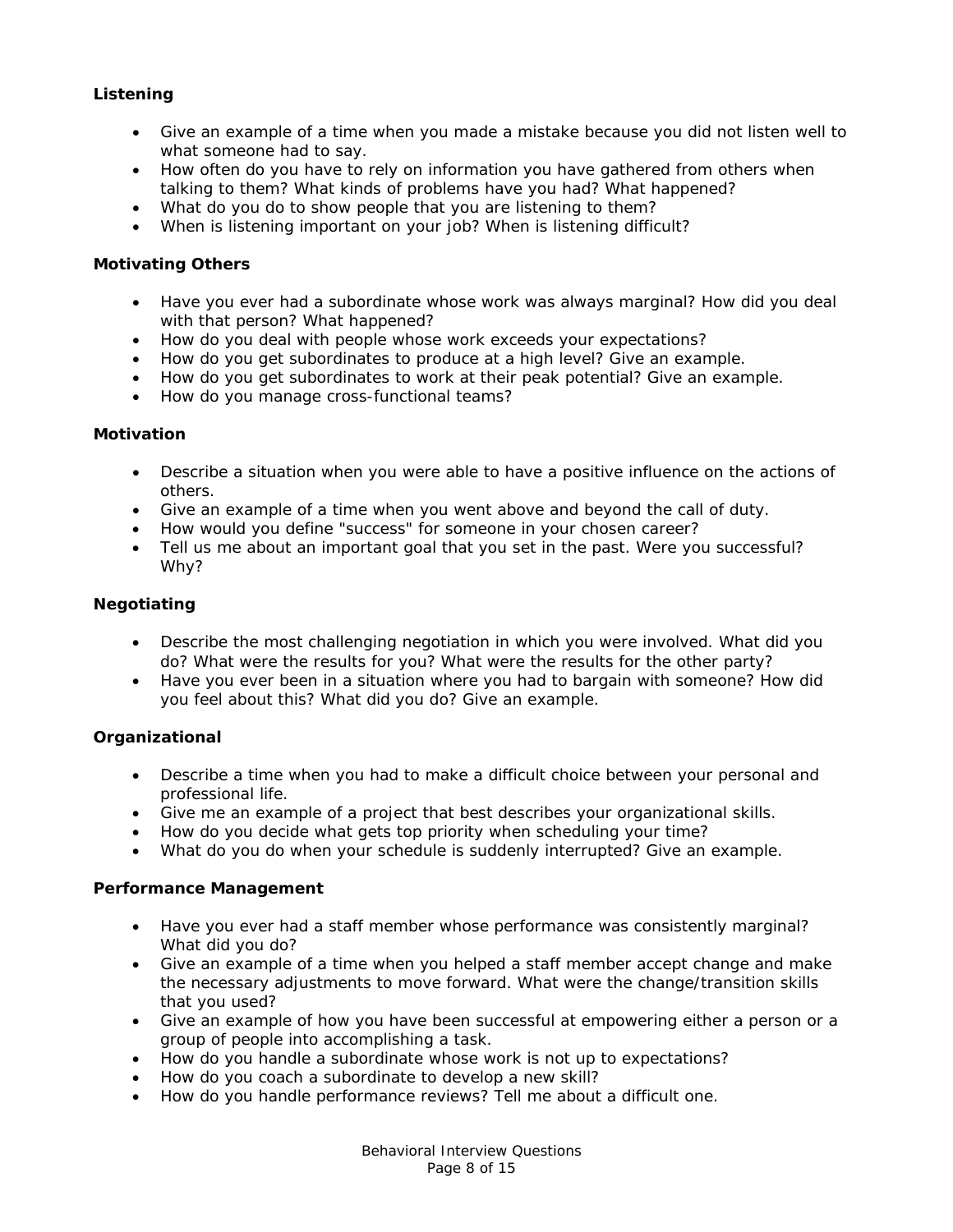## **Listening**

- Give an example of a time when you made a mistake because you did not listen well to what someone had to say.
- How often do you have to rely on information you have gathered from others when talking to them? What kinds of problems have you had? What happened?
- What do you do to show people that you are listening to them?
- When is listening important on your job? When is listening difficult?

#### **Motivating Others**

- Have you ever had a subordinate whose work was always marginal? How did you deal with that person? What happened?
- How do you deal with people whose work exceeds your expectations?
- How do you get subordinates to produce at a high level? Give an example.
- How do you get subordinates to work at their peak potential? Give an example.
- How do you manage cross-functional teams?

#### **Motivation**

- Describe a situation when you were able to have a positive influence on the actions of others.
- Give an example of a time when you went above and beyond the call of duty.
- How would you define "success" for someone in your chosen career?
- Tell us me about an important goal that you set in the past. Were you successful? Why?

#### **Negotiating**

- Describe the most challenging negotiation in which you were involved. What did you do? What were the results for you? What were the results for the other party?
- Have you ever been in a situation where you had to bargain with someone? How did you feel about this? What did you do? Give an example.

#### **Organizational**

- Describe a time when you had to make a difficult choice between your personal and professional life.
- Give me an example of a project that best describes your organizational skills.
- How do you decide what gets top priority when scheduling your time?
- What do you do when your schedule is suddenly interrupted? Give an example.

#### **Performance Management**

- Have you ever had a staff member whose performance was consistently marginal? What did you do?
- Give an example of a time when you helped a staff member accept change and make the necessary adjustments to move forward. What were the change/transition skills that you used?
- Give an example of how you have been successful at empowering either a person or a group of people into accomplishing a task.
- How do you handle a subordinate whose work is not up to expectations?
- How do you coach a subordinate to develop a new skill?
- How do you handle performance reviews? Tell me about a difficult one.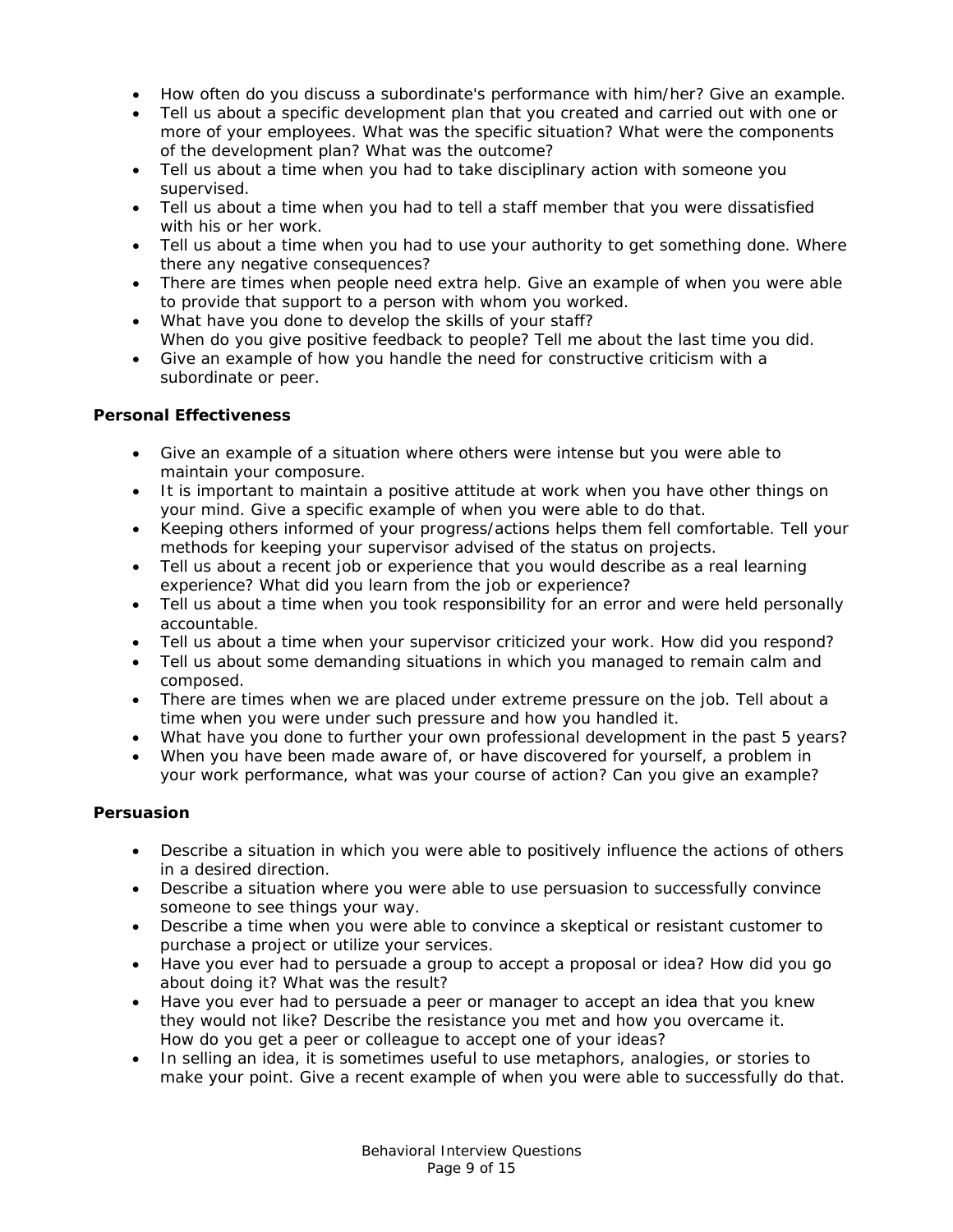- How often do you discuss a subordinate's performance with him/her? Give an example.
- Tell us about a specific development plan that you created and carried out with one or more of your employees. What was the specific situation? What were the components of the development plan? What was the outcome?
- Tell us about a time when you had to take disciplinary action with someone you supervised.
- Tell us about a time when you had to tell a staff member that you were dissatisfied with his or her work.
- Tell us about a time when you had to use your authority to get something done. Where there any negative consequences?
- There are times when people need extra help. Give an example of when you were able to provide that support to a person with whom you worked.
- What have you done to develop the skills of your staff? When do you give positive feedback to people? Tell me about the last time you did.
- Give an example of how you handle the need for constructive criticism with a subordinate or peer.

## **Personal Effectiveness**

- Give an example of a situation where others were intense but you were able to maintain your composure.
- It is important to maintain a positive attitude at work when you have other things on your mind. Give a specific example of when you were able to do that.
- Keeping others informed of your progress/actions helps them fell comfortable. Tell your methods for keeping your supervisor advised of the status on projects.
- Tell us about a recent job or experience that you would describe as a real learning experience? What did you learn from the job or experience?
- Tell us about a time when you took responsibility for an error and were held personally accountable.
- Tell us about a time when your supervisor criticized your work. How did you respond?
- Tell us about some demanding situations in which you managed to remain calm and composed.
- There are times when we are placed under extreme pressure on the job. Tell about a time when you were under such pressure and how you handled it.
- What have you done to further your own professional development in the past 5 years?
- When you have been made aware of, or have discovered for yourself, a problem in your work performance, what was your course of action? Can you give an example?

## **Persuasion**

- Describe a situation in which you were able to positively influence the actions of others in a desired direction.
- Describe a situation where you were able to use persuasion to successfully convince someone to see things your way.
- Describe a time when you were able to convince a skeptical or resistant customer to purchase a project or utilize your services.
- Have you ever had to persuade a group to accept a proposal or idea? How did you go about doing it? What was the result?
- Have you ever had to persuade a peer or manager to accept an idea that you knew they would not like? Describe the resistance you met and how you overcame it. How do you get a peer or colleague to accept one of your ideas?
- In selling an idea, it is sometimes useful to use metaphors, analogies, or stories to make your point. Give a recent example of when you were able to successfully do that.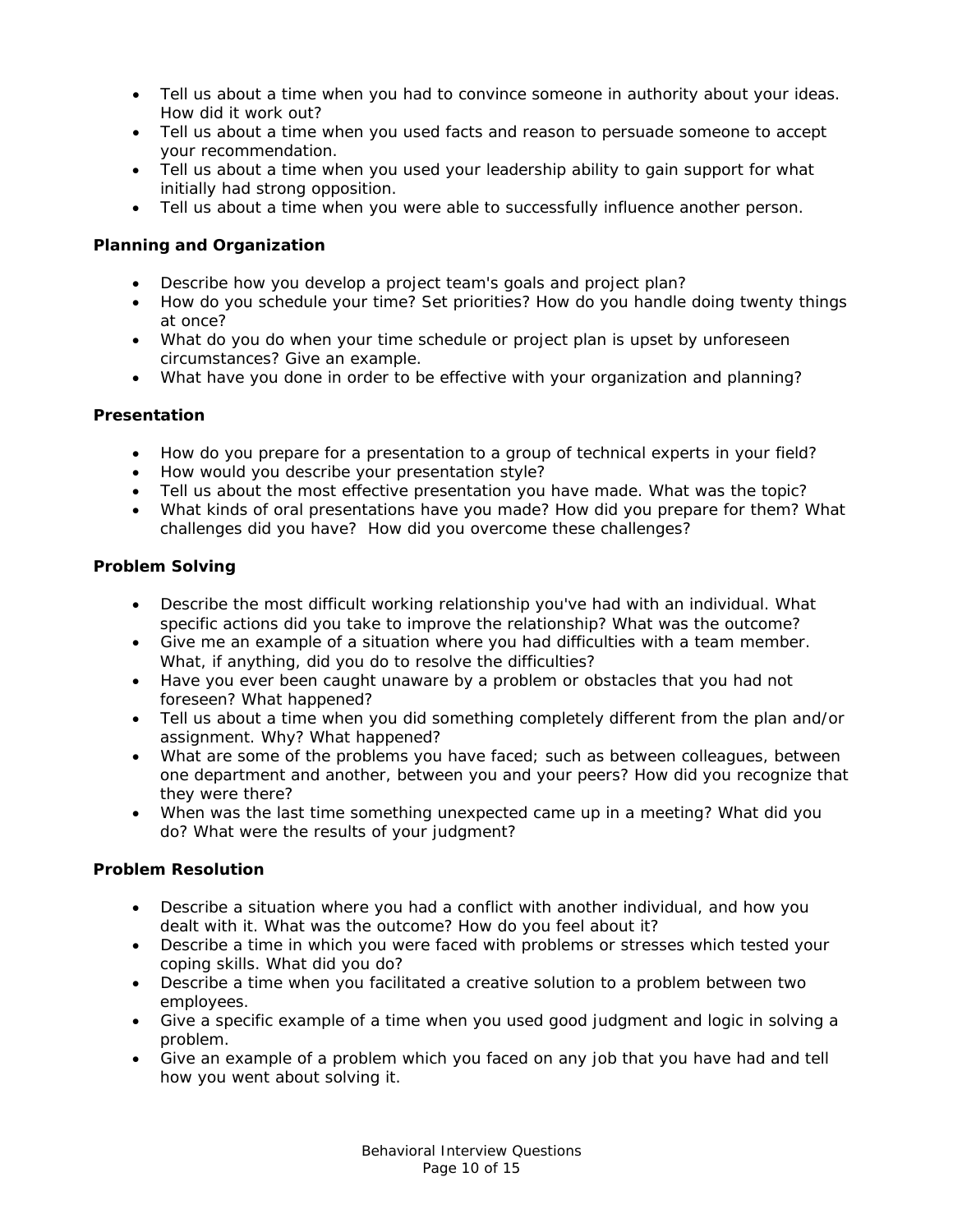- Tell us about a time when you had to convince someone in authority about your ideas. How did it work out?
- Tell us about a time when you used facts and reason to persuade someone to accept your recommendation.
- Tell us about a time when you used your leadership ability to gain support for what initially had strong opposition.
- Tell us about a time when you were able to successfully influence another person.

## **Planning and Organization**

- Describe how you develop a project team's goals and project plan?
- How do you schedule your time? Set priorities? How do you handle doing twenty things at once?
- What do you do when your time schedule or project plan is upset by unforeseen circumstances? Give an example.
- What have you done in order to be effective with your organization and planning?

#### **Presentation**

- How do you prepare for a presentation to a group of technical experts in your field?
- How would you describe your presentation style?
- Tell us about the most effective presentation you have made. What was the topic?
- What kinds of oral presentations have you made? How did you prepare for them? What challenges did you have? How did you overcome these challenges?

#### **Problem Solving**

- Describe the most difficult working relationship you've had with an individual. What specific actions did you take to improve the relationship? What was the outcome?
- Give me an example of a situation where you had difficulties with a team member. What, if anything, did you do to resolve the difficulties?
- Have you ever been caught unaware by a problem or obstacles that you had not foreseen? What happened?
- Tell us about a time when you did something completely different from the plan and/or assignment. Why? What happened?
- What are some of the problems you have faced; such as between colleagues, between one department and another, between you and your peers? How did you recognize that they were there?
- When was the last time something unexpected came up in a meeting? What did you do? What were the results of your judgment?

#### **Problem Resolution**

- Describe a situation where you had a conflict with another individual, and how you dealt with it. What was the outcome? How do you feel about it?
- Describe a time in which you were faced with problems or stresses which tested your coping skills. What did you do?
- Describe a time when you facilitated a creative solution to a problem between two employees.
- Give a specific example of a time when you used good judgment and logic in solving a problem.
- Give an example of a problem which you faced on any job that you have had and tell how you went about solving it.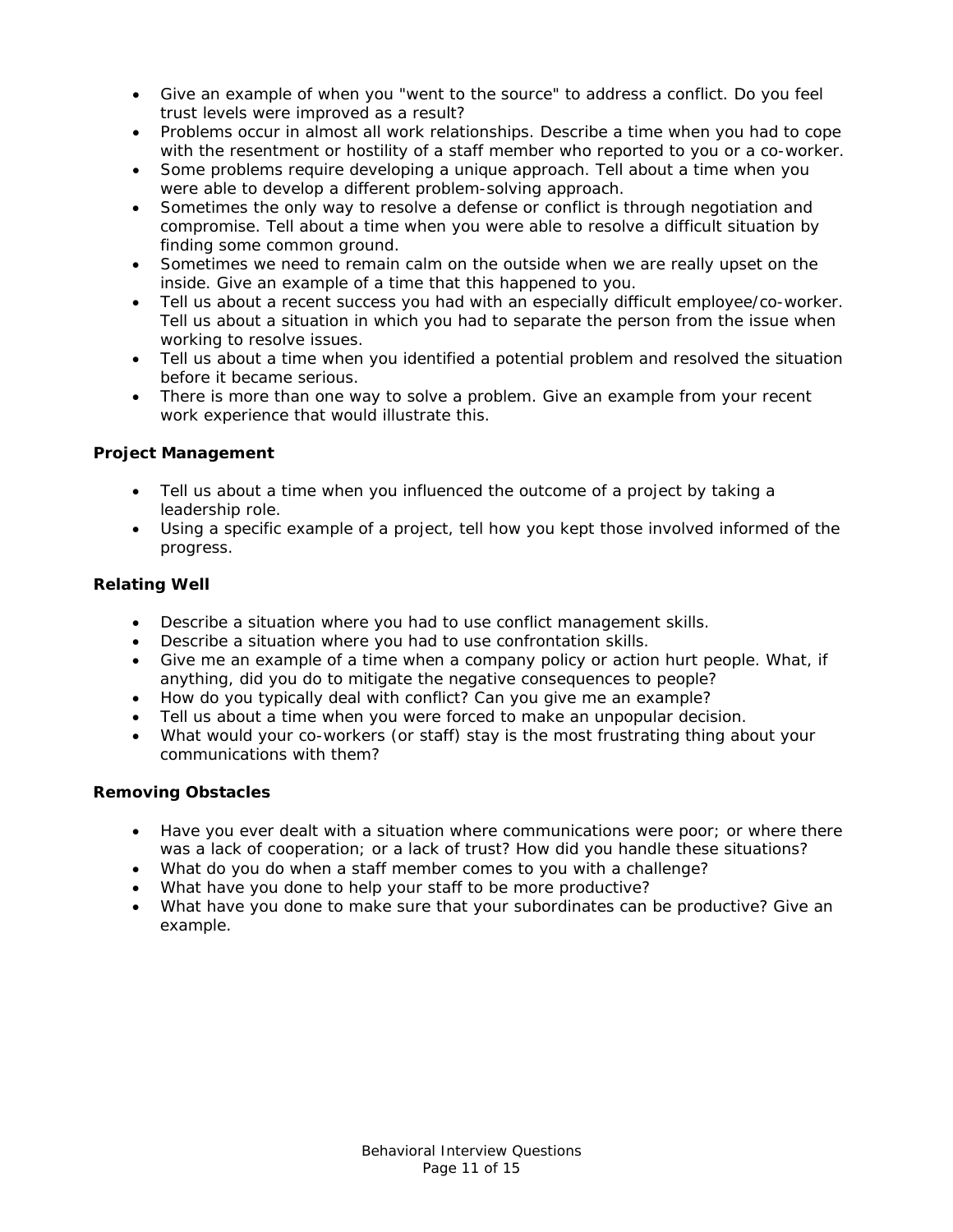- Give an example of when you "went to the source" to address a conflict. Do you feel trust levels were improved as a result?
- Problems occur in almost all work relationships. Describe a time when you had to cope with the resentment or hostility of a staff member who reported to you or a co-worker.
- Some problems require developing a unique approach. Tell about a time when you were able to develop a different problem-solving approach.
- Sometimes the only way to resolve a defense or conflict is through negotiation and compromise. Tell about a time when you were able to resolve a difficult situation by finding some common ground.
- Sometimes we need to remain calm on the outside when we are really upset on the inside. Give an example of a time that this happened to you.
- Tell us about a recent success you had with an especially difficult employee/co-worker. Tell us about a situation in which you had to separate the person from the issue when working to resolve issues.
- Tell us about a time when you identified a potential problem and resolved the situation before it became serious.
- There is more than one way to solve a problem. Give an example from your recent work experience that would illustrate this.

## **Project Management**

- Tell us about a time when you influenced the outcome of a project by taking a leadership role.
- Using a specific example of a project, tell how you kept those involved informed of the progress.

## **Relating Well**

- Describe a situation where you had to use conflict management skills.
- Describe a situation where you had to use confrontation skills.
- Give me an example of a time when a company policy or action hurt people. What, if anything, did you do to mitigate the negative consequences to people?
- How do you typically deal with conflict? Can you give me an example?
- Tell us about a time when you were forced to make an unpopular decision.
- What would your co-workers (or staff) stay is the most frustrating thing about your communications with them?

#### **Removing Obstacles**

- Have you ever dealt with a situation where communications were poor; or where there was a lack of cooperation; or a lack of trust? How did you handle these situations?
- What do you do when a staff member comes to you with a challenge?
- What have you done to help your staff to be more productive?
- What have you done to make sure that your subordinates can be productive? Give an example.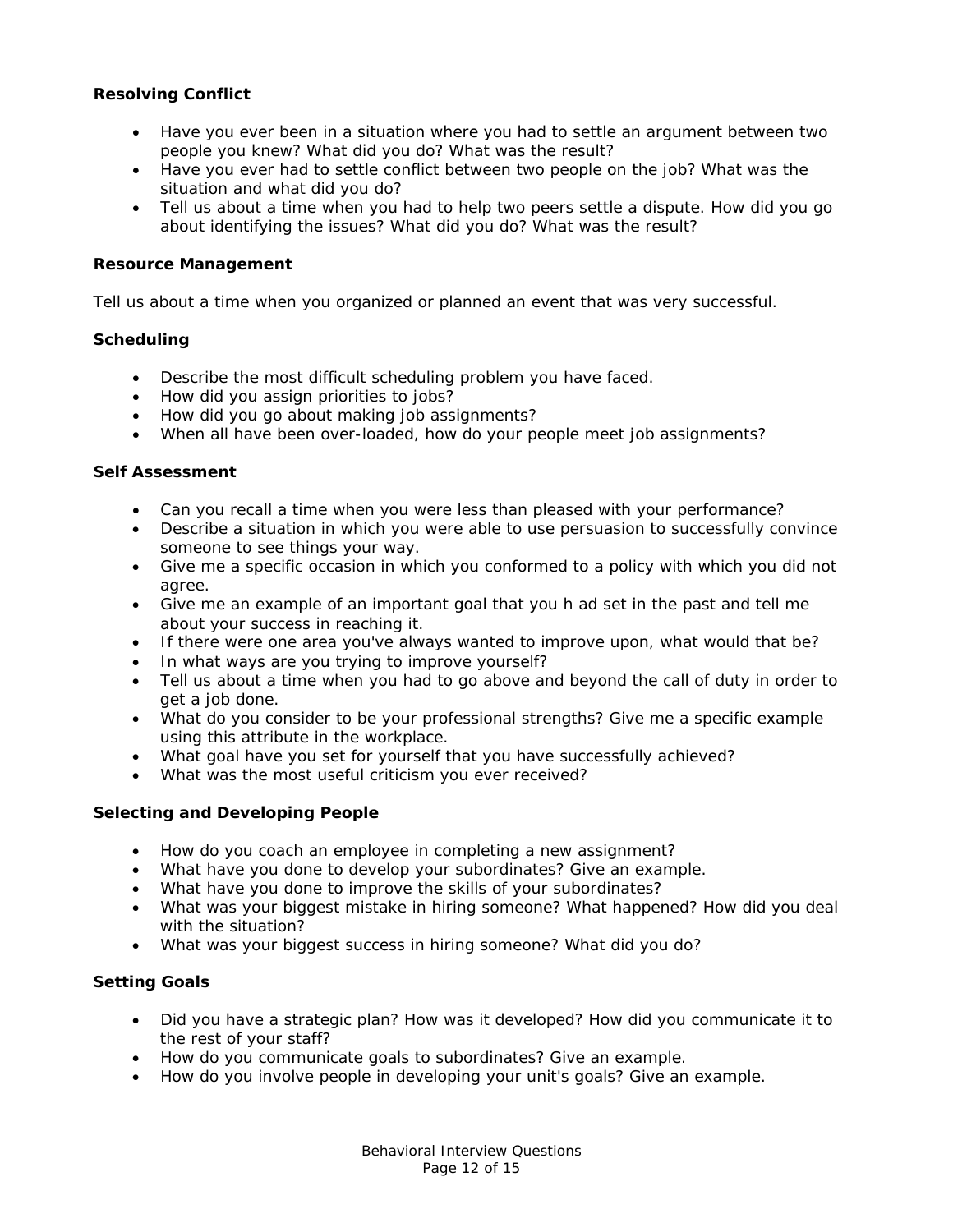## **Resolving Conflict**

- Have you ever been in a situation where you had to settle an argument between two people you knew? What did you do? What was the result?
- Have you ever had to settle conflict between two people on the job? What was the situation and what did you do?
- Tell us about a time when you had to help two peers settle a dispute. How did you go about identifying the issues? What did you do? What was the result?

#### **Resource Management**

Tell us about a time when you organized or planned an event that was very successful.

#### **Scheduling**

- Describe the most difficult scheduling problem you have faced.
- How did you assign priorities to jobs?
- How did you go about making job assignments?
- When all have been over-loaded, how do your people meet job assignments?

#### **Self Assessment**

- Can you recall a time when you were less than pleased with your performance?
- Describe a situation in which you were able to use persuasion to successfully convince someone to see things your way.
- Give me a specific occasion in which you conformed to a policy with which you did not agree.
- Give me an example of an important goal that you h ad set in the past and tell me about your success in reaching it.
- If there were one area you've always wanted to improve upon, what would that be?
- In what ways are you trying to improve yourself?
- Tell us about a time when you had to go above and beyond the call of duty in order to get a job done.
- What do you consider to be your professional strengths? Give me a specific example using this attribute in the workplace.
- What goal have you set for yourself that you have successfully achieved?
- What was the most useful criticism you ever received?

#### **Selecting and Developing People**

- How do you coach an employee in completing a new assignment?
- What have you done to develop your subordinates? Give an example.
- What have you done to improve the skills of your subordinates?
- What was your biggest mistake in hiring someone? What happened? How did you deal with the situation?
- What was your biggest success in hiring someone? What did you do?

#### **Setting Goals**

- Did you have a strategic plan? How was it developed? How did you communicate it to the rest of your staff?
- How do you communicate goals to subordinates? Give an example.
- How do you involve people in developing your unit's goals? Give an example.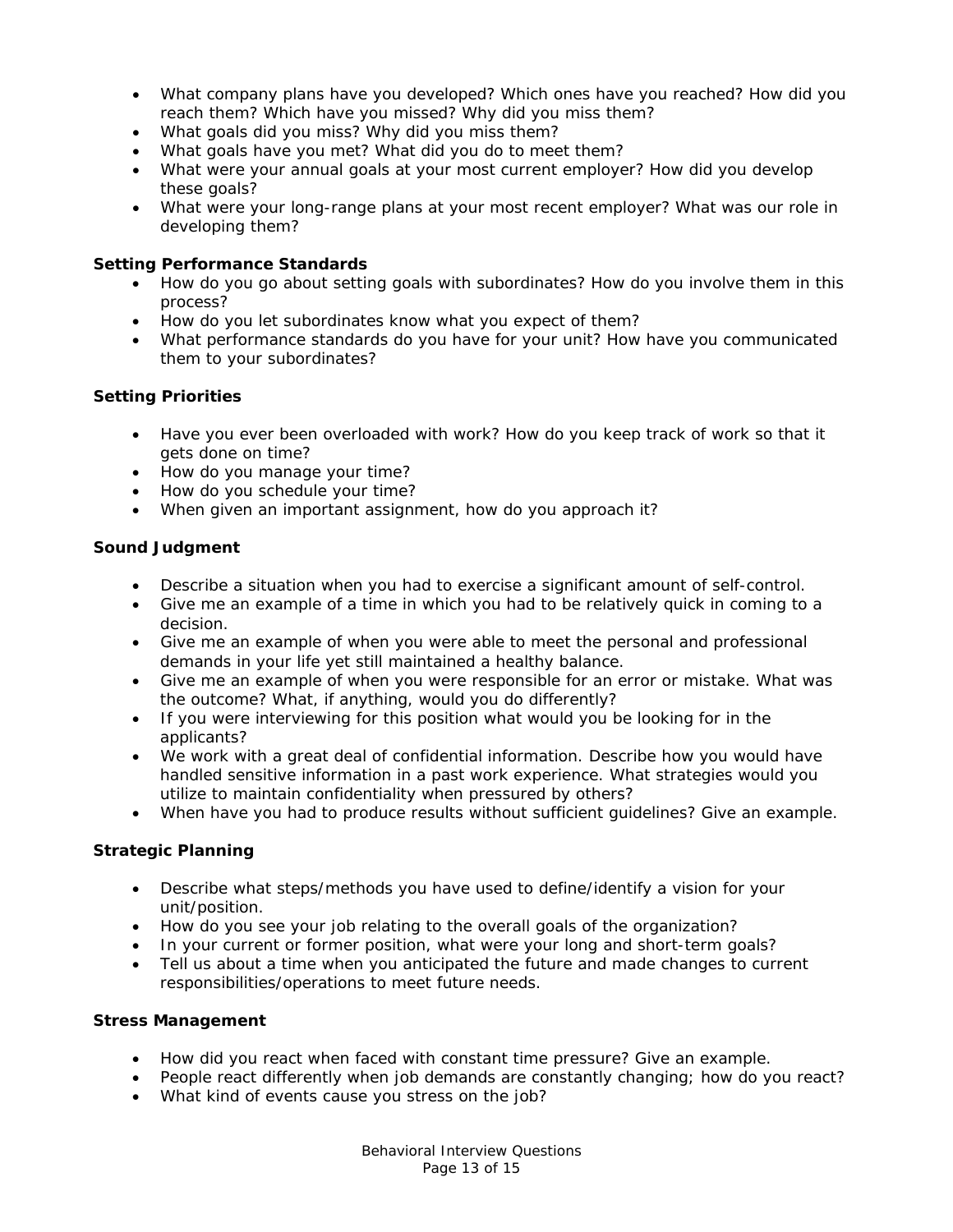- What company plans have you developed? Which ones have you reached? How did you reach them? Which have you missed? Why did you miss them?
- What goals did you miss? Why did you miss them?
- What goals have you met? What did you do to meet them?
- What were your annual goals at your most current employer? How did you develop these goals?
- What were your long-range plans at your most recent employer? What was our role in developing them?

#### **Setting Performance Standards**

- How do you go about setting goals with subordinates? How do you involve them in this process?
- How do you let subordinates know what you expect of them?
- What performance standards do you have for your unit? How have you communicated them to your subordinates?

#### **Setting Priorities**

- Have you ever been overloaded with work? How do you keep track of work so that it gets done on time?
- How do you manage your time?
- How do you schedule your time?
- When given an important assignment, how do you approach it?

### **Sound Judgment**

- Describe a situation when you had to exercise a significant amount of self-control.
- Give me an example of a time in which you had to be relatively quick in coming to a decision.
- Give me an example of when you were able to meet the personal and professional demands in your life yet still maintained a healthy balance.
- Give me an example of when you were responsible for an error or mistake. What was the outcome? What, if anything, would you do differently?
- If you were interviewing for this position what would you be looking for in the applicants?
- We work with a great deal of confidential information. Describe how you would have handled sensitive information in a past work experience. What strategies would you utilize to maintain confidentiality when pressured by others?
- When have you had to produce results without sufficient guidelines? Give an example.

#### **Strategic Planning**

- Describe what steps/methods you have used to define/identify a vision for your unit/position.
- How do you see your job relating to the overall goals of the organization?
- In your current or former position, what were your long and short-term goals?
- Tell us about a time when you anticipated the future and made changes to current responsibilities/operations to meet future needs.

#### **Stress Management**

- How did you react when faced with constant time pressure? Give an example.
- People react differently when job demands are constantly changing; how do you react?
- What kind of events cause you stress on the job?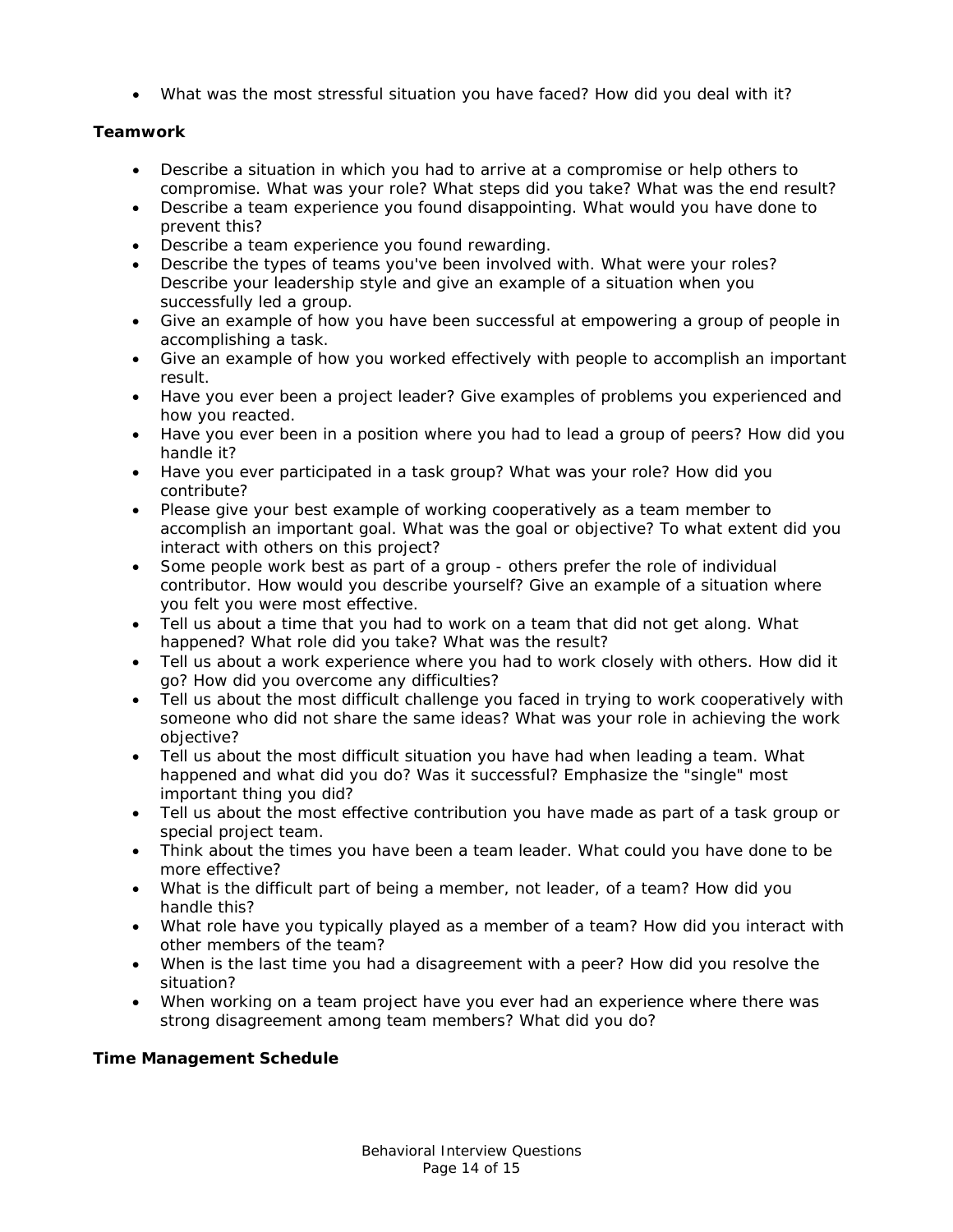• What was the most stressful situation you have faced? How did you deal with it?

# **Teamwork**

- Describe a situation in which you had to arrive at a compromise or help others to compromise. What was your role? What steps did you take? What was the end result?
- Describe a team experience you found disappointing. What would you have done to prevent this?
- Describe a team experience you found rewarding.
- Describe the types of teams you've been involved with. What were your roles? Describe your leadership style and give an example of a situation when you successfully led a group.
- Give an example of how you have been successful at empowering a group of people in accomplishing a task.
- Give an example of how you worked effectively with people to accomplish an important result.
- Have you ever been a project leader? Give examples of problems you experienced and how you reacted.
- Have you ever been in a position where you had to lead a group of peers? How did you handle it?
- Have you ever participated in a task group? What was your role? How did you contribute?
- Please give your best example of working cooperatively as a team member to accomplish an important goal. What was the goal or objective? To what extent did you interact with others on this project?
- Some people work best as part of a group others prefer the role of individual contributor. How would you describe yourself? Give an example of a situation where you felt you were most effective.
- Tell us about a time that you had to work on a team that did not get along. What happened? What role did you take? What was the result?
- Tell us about a work experience where you had to work closely with others. How did it go? How did you overcome any difficulties?
- Tell us about the most difficult challenge you faced in trying to work cooperatively with someone who did not share the same ideas? What was your role in achieving the work objective?
- Tell us about the most difficult situation you have had when leading a team. What happened and what did you do? Was it successful? Emphasize the "single" most important thing you did?
- Tell us about the most effective contribution you have made as part of a task group or special project team.
- Think about the times you have been a team leader. What could you have done to be more effective?
- What is the difficult part of being a member, not leader, of a team? How did you handle this?
- What role have you typically played as a member of a team? How did you interact with other members of the team?
- When is the last time you had a disagreement with a peer? How did you resolve the situation?
- When working on a team project have you ever had an experience where there was strong disagreement among team members? What did you do?

## **Time Management Schedule**